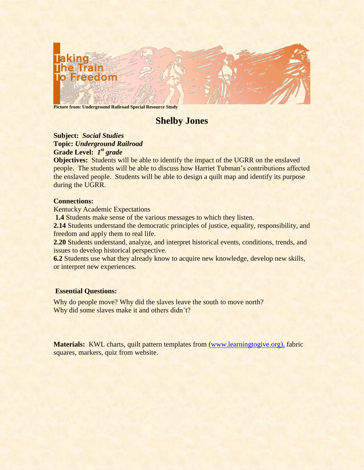

**Picture from: Underground Railroad Special Resource Study**

# **Shelby Jones**

# **Subject:** *Social Studies* **Topic:** *Underground Railroad* **Grade Level:** *1 st grade*

**Objectives:** Students will be able to identify the impact of the UGRR on the enslaved people. The students will be able to discuss how Harriet Tubman's contributions affected the enslaved people. Students will be able to design a quilt map and identify its purpose during the UGRR.

## **Connections:**

Kentucky Academic Expectations

**1.4** Students make sense of the various messages to which they listen.

2.14 Students understand the democratic principles of justice, equality, responsibility, and freedom and apply them to real life.

**2.20** Students understand, analyze, and interpret historical events, conditions, trends, and issues to develop historical perspective.

**6.2** Students use what they already know to acquire new knowledge, develop new skills, or interpret new experiences.

# **Essential Questions:**

Why did some slaves make it and others didn't? Why do people move? Why did the slaves leave the south to move north?

**Materials:** KWL charts, quilt pattern templates from [\(www.learningtogive.org\),](http://www.learningtogive.org/) fabric squares, markers, quiz from website.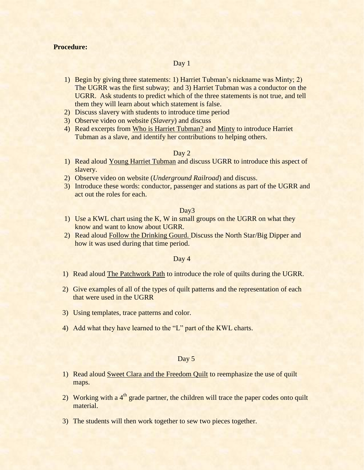## **Procedure:**

## Day 1

- 1) Begin by giving three statements: 1) Harriet Tubman's nickname was Minty; 2) The UGRR was the first subway; and 3) Harriet Tubman was a conductor on the UGRR. Ask students to predict which of the three statements is not true, and tell them they will learn about which statement is false.
- 2) Discuss slavery with students to introduce time period
- 3) Observe video on website (*Slavery*) and discuss
- 4) Read excerpts from Who is Harriet Tubman? and Minty to introduce Harriet Tubman as a slave, and identify her contributions to helping others.

#### Day 2

- 1) Read aloud Young Harriet Tubman and discuss UGRR to introduce this aspect of slavery.
- 2) Observe video on website (*Underground Railroad*) and discuss.
- 3) Introduce these words: conductor, passenger and stations as part of the UGRR and act out the roles for each.

#### Day3

- 1) Use a KWL chart using the K, W in small groups on the UGRR on what they know and want to know about UGRR.
- 2) Read aloud Follow the Drinking Gourd. Discuss the North Star/Big Dipper and how it was used during that time period.

#### Day 4

- 1) Read aloud The Patchwork Path to introduce the role of quilts during the UGRR.
- 2) Give examples of all of the types of quilt patterns and the representation of each that were used in the UGRR
- 3) Using templates, trace patterns and color.
- 4) Add what they have learned to the "L" part of the KWL charts.

#### Day 5

- 1) Read aloud Sweet Clara and the Freedom Quilt to reemphasize the use of quilt maps.
- 2) Working with a  $4<sup>th</sup>$  grade partner, the children will trace the paper codes onto quilt material.
- 3) The students will then work together to sew two pieces together.